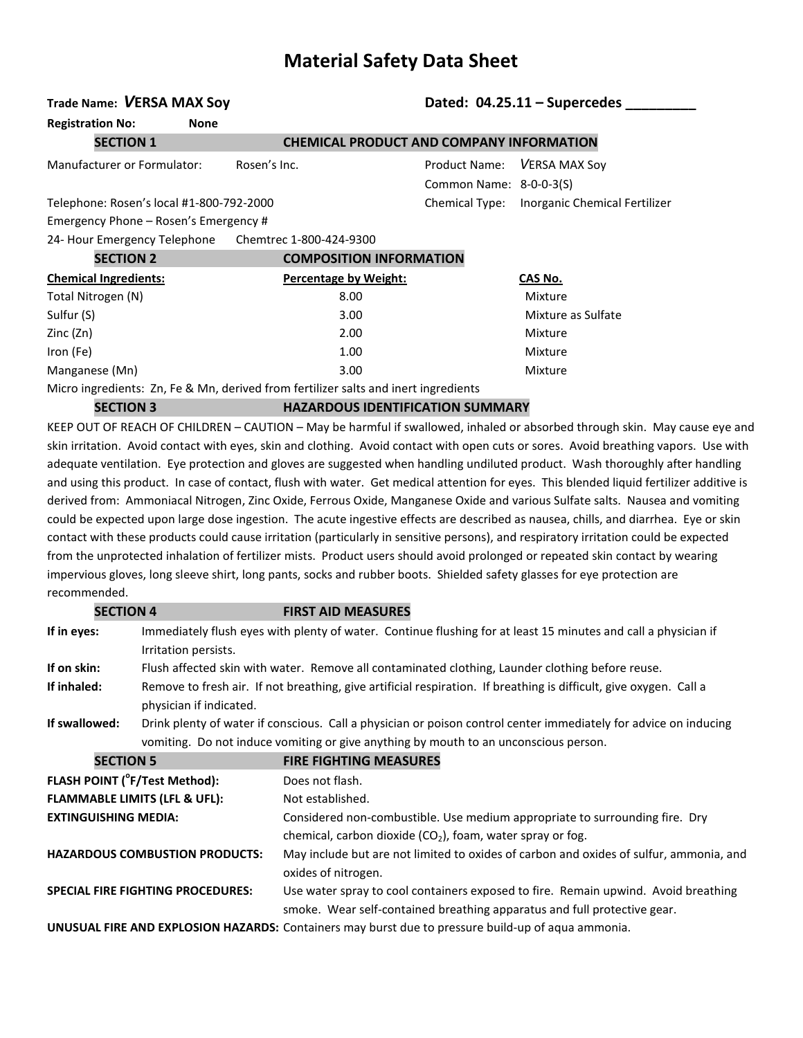# **Material Safety Data Sheet**

# **Trade Name:** *V***ERSA MAX Soy Dated: 04.25.11 – Supercedes \_\_\_\_\_\_\_\_\_**

**Registration No: None**

Manufacturer or Formulator: Rosen's Inc. Product Name: *V*ERSA MAX Soy

### **SECTION 1 CHEMICAL PRODUCT AND COMPANY INFORMATION**

 Common Name: 8-0-0-3(S) Telephone: Rosen's local #1-800-792-2000 Chemical Type: Inorganic Chemical Fertilizer

Emergency Phone – Rosen's Emergency # 24- Hour Emergency Telephone Chemtrec 1-800-424-9300

| CECTION 2                    | COMPOCITION INFORMATION  |
|------------------------------|--------------------------|
| Z4- Hour Emergency Telephone | Chemitred I-800-424-9300 |

| SECTIVIV Z                   | COMPOSITION INFORMATION                                                             |                    |
|------------------------------|-------------------------------------------------------------------------------------|--------------------|
| <b>Chemical Ingredients:</b> | Percentage by Weight:                                                               | CAS No.            |
| Total Nitrogen (N)           | 8.00                                                                                | Mixture            |
| Sulfur (S)                   | 3.00                                                                                | Mixture as Sulfate |
| Zinc (Zn)                    | 2.00                                                                                | Mixture            |
| Iron (Fe)                    | 1.00                                                                                | Mixture            |
| Manganese (Mn)               | 3.00                                                                                | Mixture            |
|                              | Micro ingredients: Zn, Fe & Mn, derived from fertilizer salts and inert ingredients |                    |

**SECTION 3 HAZARDOUS IDENTIFICATION SUMMARY**

KEEP OUT OF REACH OF CHILDREN – CAUTION – May be harmful if swallowed, inhaled or absorbed through skin. May cause eye and skin irritation. Avoid contact with eyes, skin and clothing. Avoid contact with open cuts or sores. Avoid breathing vapors. Use with adequate ventilation. Eye protection and gloves are suggested when handling undiluted product. Wash thoroughly after handling and using this product. In case of contact, flush with water. Get medical attention for eyes. This blended liquid fertilizer additive is derived from: Ammoniacal Nitrogen, Zinc Oxide, Ferrous Oxide, Manganese Oxide and various Sulfate salts. Nausea and vomiting could be expected upon large dose ingestion. The acute ingestive effects are described as nausea, chills, and diarrhea. Eye or skin contact with these products could cause irritation (particularly in sensitive persons), and respiratory irritation could be expected from the unprotected inhalation of fertilizer mists. Product users should avoid prolonged or repeated skin contact by wearing impervious gloves, long sleeve shirt, long pants, socks and rubber boots. Shielded safety glasses for eye protection are recommended.

| <b>SECTION 4</b>            |                                                                                                                  | <b>FIRST AID MEASURES</b>                                                                                                                                      |  |  |
|-----------------------------|------------------------------------------------------------------------------------------------------------------|----------------------------------------------------------------------------------------------------------------------------------------------------------------|--|--|
| If in eyes:                 | Irritation persists.                                                                                             | Immediately flush eyes with plenty of water. Continue flushing for at least 15 minutes and call a physician if                                                 |  |  |
| If on skin:                 | Flush affected skin with water. Remove all contaminated clothing, Launder clothing before reuse.                 |                                                                                                                                                                |  |  |
| If inhaled:                 | physician if indicated.                                                                                          | Remove to fresh air. If not breathing, give artificial respiration. If breathing is difficult, give oxygen. Call a                                             |  |  |
| If swallowed:               | Drink plenty of water if conscious. Call a physician or poison control center immediately for advice on inducing |                                                                                                                                                                |  |  |
|                             |                                                                                                                  | vomiting. Do not induce vomiting or give anything by mouth to an unconscious person.                                                                           |  |  |
| <b>SECTION 5</b>            |                                                                                                                  | <b>FIRE FIGHTING MEASURES</b>                                                                                                                                  |  |  |
|                             | FLASH POINT ( <sup>°</sup> F/Test Method):                                                                       | Does not flash.                                                                                                                                                |  |  |
|                             | <b>FLAMMABLE LIMITS (LFL &amp; UFL):</b>                                                                         | Not established.                                                                                                                                               |  |  |
| <b>EXTINGUISHING MEDIA:</b> |                                                                                                                  | Considered non-combustible. Use medium appropriate to surrounding fire. Dry<br>chemical, carbon dioxide $(CO2)$ , foam, water spray or fog.                    |  |  |
|                             | <b>HAZARDOUS COMBUSTION PRODUCTS:</b>                                                                            | May include but are not limited to oxides of carbon and oxides of sulfur, ammonia, and<br>oxides of nitrogen.                                                  |  |  |
|                             | <b>SPECIAL FIRE FIGHTING PROCEDURES:</b>                                                                         | Use water spray to cool containers exposed to fire. Remain upwind. Avoid breathing<br>smoke. Wear self-contained breathing apparatus and full protective gear. |  |  |

**UNUSUAL FIRE AND EXPLOSION HAZARDS:** Containers may burst due to pressure build-up of aqua ammonia.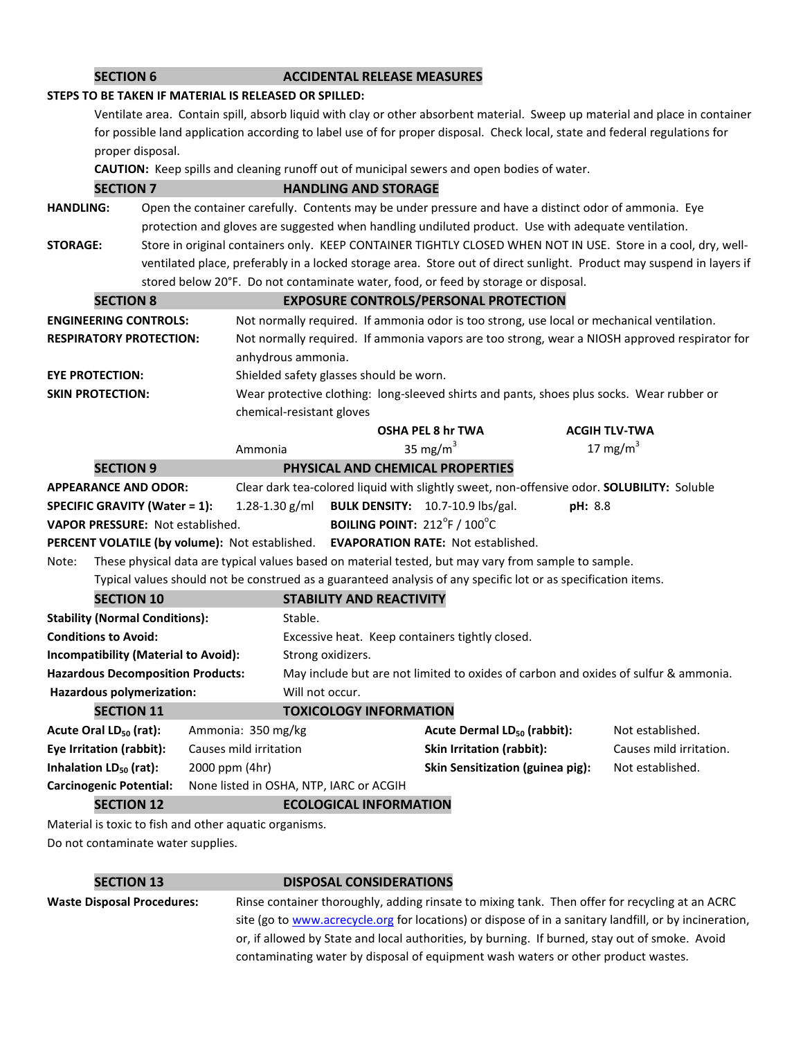| <b>SECTION 6</b>                                                                                               |                                                                                                       |                                                        | <b>ACCIDENTAL RELEASE MEASURES</b>      |                                                                                            |         |                                                                                                                              |
|----------------------------------------------------------------------------------------------------------------|-------------------------------------------------------------------------------------------------------|--------------------------------------------------------|-----------------------------------------|--------------------------------------------------------------------------------------------|---------|------------------------------------------------------------------------------------------------------------------------------|
|                                                                                                                | STEPS TO BE TAKEN IF MATERIAL IS RELEASED OR SPILLED:                                                 |                                                        |                                         |                                                                                            |         |                                                                                                                              |
|                                                                                                                |                                                                                                       |                                                        |                                         |                                                                                            |         | Ventilate area. Contain spill, absorb liquid with clay or other absorbent material. Sweep up material and place in container |
|                                                                                                                |                                                                                                       |                                                        |                                         |                                                                                            |         | for possible land application according to label use of for proper disposal. Check local, state and federal regulations for  |
| proper disposal.                                                                                               |                                                                                                       |                                                        |                                         |                                                                                            |         |                                                                                                                              |
|                                                                                                                |                                                                                                       |                                                        |                                         | CAUTION: Keep spills and cleaning runoff out of municipal sewers and open bodies of water. |         |                                                                                                                              |
| <b>SECTION 7</b>                                                                                               |                                                                                                       |                                                        | <b>HANDLING AND STORAGE</b>             |                                                                                            |         |                                                                                                                              |
| <b>HANDLING:</b>                                                                                               | Open the container carefully. Contents may be under pressure and have a distinct odor of ammonia. Eye |                                                        |                                         |                                                                                            |         |                                                                                                                              |
|                                                                                                                | protection and gloves are suggested when handling undiluted product. Use with adequate ventilation.   |                                                        |                                         |                                                                                            |         |                                                                                                                              |
| <b>STORAGE:</b>                                                                                                |                                                                                                       |                                                        |                                         |                                                                                            |         | Store in original containers only. KEEP CONTAINER TIGHTLY CLOSED WHEN NOT IN USE. Store in a cool, dry, well-                |
|                                                                                                                |                                                                                                       |                                                        |                                         |                                                                                            |         | ventilated place, preferably in a locked storage area. Store out of direct sunlight. Product may suspend in layers if        |
|                                                                                                                |                                                                                                       |                                                        |                                         | stored below 20°F. Do not contaminate water, food, or feed by storage or disposal.         |         |                                                                                                                              |
| <b>SECTION 8</b>                                                                                               |                                                                                                       |                                                        |                                         | <b>EXPOSURE CONTROLS/PERSONAL PROTECTION</b>                                               |         |                                                                                                                              |
| <b>ENGINEERING CONTROLS:</b>                                                                                   |                                                                                                       |                                                        |                                         | Not normally required. If ammonia odor is too strong, use local or mechanical ventilation. |         |                                                                                                                              |
| <b>RESPIRATORY PROTECTION:</b>                                                                                 |                                                                                                       |                                                        |                                         |                                                                                            |         | Not normally required. If ammonia vapors are too strong, wear a NIOSH approved respirator for                                |
|                                                                                                                |                                                                                                       | anhydrous ammonia.                                     |                                         |                                                                                            |         |                                                                                                                              |
| <b>EYE PROTECTION:</b>                                                                                         |                                                                                                       |                                                        | Shielded safety glasses should be worn. |                                                                                            |         |                                                                                                                              |
| <b>SKIN PROTECTION:</b>                                                                                        |                                                                                                       |                                                        |                                         | Wear protective clothing: long-sleeved shirts and pants, shoes plus socks. Wear rubber or  |         |                                                                                                                              |
|                                                                                                                |                                                                                                       | chemical-resistant gloves                              |                                         |                                                                                            |         |                                                                                                                              |
|                                                                                                                |                                                                                                       |                                                        |                                         | <b>OSHA PEL 8 hr TWA</b>                                                                   |         | <b>ACGIH TLV-TWA</b>                                                                                                         |
|                                                                                                                |                                                                                                       | Ammonia                                                |                                         | 35 mg/m <sup>3</sup>                                                                       |         | 17 mg/m <sup>3</sup>                                                                                                         |
| <b>SECTION 9</b>                                                                                               |                                                                                                       |                                                        |                                         | PHYSICAL AND CHEMICAL PROPERTIES                                                           |         |                                                                                                                              |
| <b>APPEARANCE AND ODOR:</b>                                                                                    |                                                                                                       |                                                        |                                         | Clear dark tea-colored liquid with slightly sweet, non-offensive odor. SOLUBILITY: Soluble |         |                                                                                                                              |
| <b>SPECIFIC GRAVITY (Water = 1):</b>                                                                           |                                                                                                       | $1.28 - 1.30$ g/ml                                     |                                         | BULK DENSITY: 10.7-10.9 lbs/gal.                                                           | pH: 8.8 |                                                                                                                              |
| <b>VAPOR PRESSURE: Not established.</b>                                                                        |                                                                                                       |                                                        | BOILING POINT: 212°F / 100°C            |                                                                                            |         |                                                                                                                              |
|                                                                                                                |                                                                                                       |                                                        |                                         | PERCENT VOLATILE (by volume): Not established. EVAPORATION RATE: Not established.          |         |                                                                                                                              |
| These physical data are typical values based on material tested, but may vary from sample to sample.<br>Note:  |                                                                                                       |                                                        |                                         |                                                                                            |         |                                                                                                                              |
| Typical values should not be construed as a guaranteed analysis of any specific lot or as specification items. |                                                                                                       |                                                        |                                         |                                                                                            |         |                                                                                                                              |
| <b>SECTION 10</b>                                                                                              |                                                                                                       |                                                        | <b>STABILITY AND REACTIVITY</b>         |                                                                                            |         |                                                                                                                              |
| <b>Stability (Normal Conditions):</b>                                                                          |                                                                                                       | Stable.                                                |                                         |                                                                                            |         |                                                                                                                              |
| <b>Conditions to Avoid:</b>                                                                                    |                                                                                                       |                                                        |                                         | Excessive heat. Keep containers tightly closed.                                            |         |                                                                                                                              |
| Incompatibility (Material to Avoid):<br>Strong oxidizers.                                                      |                                                                                                       |                                                        |                                         |                                                                                            |         |                                                                                                                              |
| <b>Hazardous Decomposition Products:</b>                                                                       |                                                                                                       |                                                        |                                         |                                                                                            |         | May include but are not limited to oxides of carbon and oxides of sulfur & ammonia.                                          |
| Hazardous polymerization:                                                                                      |                                                                                                       | Will not occur.                                        |                                         |                                                                                            |         |                                                                                                                              |
| <b>SECTION 11</b>                                                                                              |                                                                                                       |                                                        | <b>TOXICOLOGY INFORMATION</b>           |                                                                                            |         |                                                                                                                              |
| Acute Oral LD <sub>50</sub> (rat):                                                                             |                                                                                                       | Ammonia: 350 mg/kg                                     |                                         | Acute Dermal LD <sub>50</sub> (rabbit):                                                    |         | Not established.                                                                                                             |
| Eye Irritation (rabbit):                                                                                       |                                                                                                       | Causes mild irritation                                 |                                         | Skin Irritation (rabbit):                                                                  |         | Causes mild irritation.                                                                                                      |
| Inhalation LD <sub>50</sub> (rat):                                                                             |                                                                                                       | 2000 ppm (4hr)                                         |                                         | Skin Sensitization (guinea pig):                                                           |         | Not established.                                                                                                             |
| <b>Carcinogenic Potential:</b>                                                                                 |                                                                                                       | None listed in OSHA, NTP, IARC or ACGIH                |                                         |                                                                                            |         |                                                                                                                              |
| <b>SECTION 12</b>                                                                                              |                                                                                                       |                                                        | <b>ECOLOGICAL INFORMATION</b>           |                                                                                            |         |                                                                                                                              |
|                                                                                                                |                                                                                                       | Material is toxic to fish and other aquatic organisms. |                                         |                                                                                            |         |                                                                                                                              |

Do not contaminate water supplies.

## **SECTION 13 DISPOSAL CONSIDERATIONS**

**Waste Disposal Procedures:** Rinse container thoroughly, adding rinsate to mixing tank. Then offer for recycling at an ACRC site (go to [www.acrecycle.org](http://www.acrecycle.org/) for locations) or dispose of in a sanitary landfill, or by incineration, or, if allowed by State and local authorities, by burning. If burned, stay out of smoke. Avoid contaminating water by disposal of equipment wash waters or other product wastes.